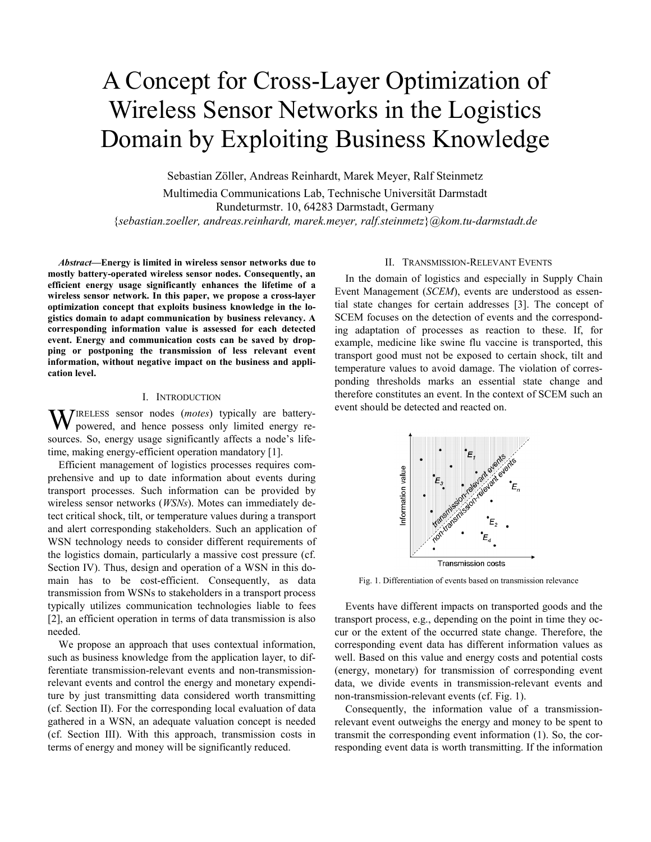# A Concept for Cross-Layer Optimization of Wireless Sensor Networks in the Logistics Domain by Exploiting Business Knowledge

Sebastian Zöller, Andreas Reinhardt, Marek Meyer, Ralf Steinmetz

Multimedia Communications Lab, Technische Universität Darmstadt Rundeturmstr. 10, 64283 Darmstadt, Germany {*sebastian.zoeller, andreas.reinhardt, marek.meyer, ralf.steinmetz*}*@kom.tu-darmstadt.de*

*Abstract***—Energy is limited in wireless sensor networks due to mostly battery-operated wireless sensor nodes. Consequently, an efficient energy usage significantly enhances the lifetime of a wireless sensor network. In this paper, we propose a cross-layer optimization concept that exploits business knowledge in the logistics domain to adapt communication by business relevancy. A corresponding information value is assessed for each detected event. Energy and communication costs can be saved by dropping or postponing the transmission of less relevant event information, without negative impact on the business and application level.** 

## I. INTRODUCTION

**W**IRELESS sensor nodes (*motes*) typically are battery-powered, and hence possess only limited energy repowered, and hence possess only limited energy resources. So, energy usage significantly affects a node's lifetime, making energy-efficient operation mandatory [1].

Efficient management of logistics processes requires comprehensive and up to date information about events during transport processes. Such information can be provided by wireless sensor networks (*WSNs*). Motes can immediately detect critical shock, tilt, or temperature values during a transport and alert corresponding stakeholders. Such an application of WSN technology needs to consider different requirements of the logistics domain, particularly a massive cost pressure (cf. Section IV). Thus, design and operation of a WSN in this domain has to be cost-efficient. Consequently, as data transmission from WSNs to stakeholders in a transport process typically utilizes communication technologies liable to fees [2], an efficient operation in terms of data transmission is also needed.

We propose an approach that uses contextual information, such as business knowledge from the application layer, to differentiate transmission-relevant events and non-transmissionrelevant events and control the energy and monetary expenditure by just transmitting data considered worth transmitting (cf. Section II). For the corresponding local evaluation of data gathered in a WSN, an adequate valuation concept is needed (cf. Section III). With this approach, transmission costs in terms of energy and money will be significantly reduced.

# II. TRANSMISSION-RELEVANT EVENTS

In the domain of logistics and especially in Supply Chain Event Management (*SCEM*), events are understood as essential state changes for certain addresses [3]. The concept of SCEM focuses on the detection of events and the corresponding adaptation of processes as reaction to these. If, for example, medicine like swine flu vaccine is transported, this transport good must not be exposed to certain shock, tilt and temperature values to avoid damage. The violation of corresponding thresholds marks an essential state change and therefore constitutes an event. In the context of SCEM such an event should be detected and reacted on.



Fig. 1. Differentiation of events based on transmission relevance

Events have different impacts on transported goods and the transport process, e.g., depending on the point in time they occur or the extent of the occurred state change. Therefore, the corresponding event data has different information values as well. Based on this value and energy costs and potential costs (energy, monetary) for transmission of corresponding event data, we divide events in transmission-relevant events and non-transmission-relevant events (cf. Fig. 1).

Consequently, the information value of a transmissionrelevant event outweighs the energy and money to be spent to transmit the corresponding event information (1). So, the corresponding event data is worth transmitting. If the information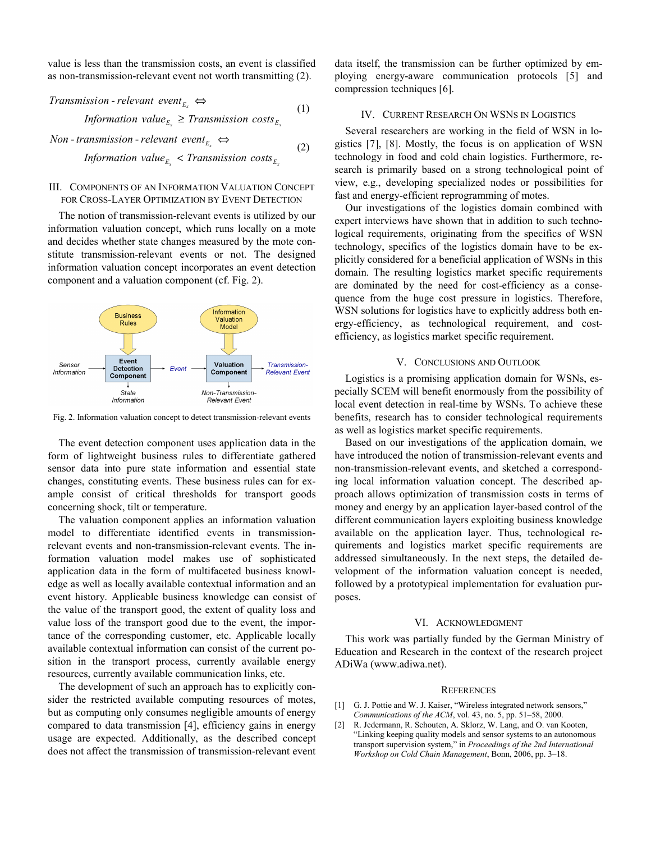value is less than the transmission costs, an event is classified as non-transmission-relevant event not worth transmitting (2).

$$
Transmission-relevant event_{E_x} \Leftrightarrow
$$
\n
$$
Information value_{E_x} \geq Transmission \ costs_{E_x}
$$
\n(1)

 $Non$  *- transmission - relevant event*<sub> $E_x$ </sub>  $\Leftrightarrow$ 

*Information value*<sub> $E_x$ </sub>  $\lt$  *Transmission costs*<sub> $E_x$ </sub>

(2)

## III. COMPONENTS OF AN INFORMATION VALUATION CONCEPT FOR CROSS-LAYER OPTIMIZATION BY EVENT DETECTION

The notion of transmission-relevant events is utilized by our information valuation concept, which runs locally on a mote and decides whether state changes measured by the mote constitute transmission-relevant events or not. The designed information valuation concept incorporates an event detection component and a valuation component (cf. Fig. 2).



Fig. 2. Information valuation concept to detect transmission-relevant events

The event detection component uses application data in the form of lightweight business rules to differentiate gathered sensor data into pure state information and essential state changes, constituting events. These business rules can for example consist of critical thresholds for transport goods concerning shock, tilt or temperature.

The valuation component applies an information valuation model to differentiate identified events in transmissionrelevant events and non-transmission-relevant events. The information valuation model makes use of sophisticated application data in the form of multifaceted business knowledge as well as locally available contextual information and an event history. Applicable business knowledge can consist of the value of the transport good, the extent of quality loss and value loss of the transport good due to the event, the importance of the corresponding customer, etc. Applicable locally available contextual information can consist of the current position in the transport process, currently available energy resources, currently available communication links, etc.

The development of such an approach has to explicitly consider the restricted available computing resources of motes, but as computing only consumes negligible amounts of energy compared to data transmission [4], efficiency gains in energy usage are expected. Additionally, as the described concept does not affect the transmission of transmission-relevant event data itself, the transmission can be further optimized by employing energy-aware communication protocols [5] and compression techniques [6].

## IV. CURRENT RESEARCH ON WSNS IN LOGISTICS

Several researchers are working in the field of WSN in logistics [7], [8]. Mostly, the focus is on application of WSN technology in food and cold chain logistics. Furthermore, research is primarily based on a strong technological point of view, e.g., developing specialized nodes or possibilities for fast and energy-efficient reprogramming of motes.

Our investigations of the logistics domain combined with expert interviews have shown that in addition to such technological requirements, originating from the specifics of WSN technology, specifics of the logistics domain have to be explicitly considered for a beneficial application of WSNs in this domain. The resulting logistics market specific requirements are dominated by the need for cost-efficiency as a consequence from the huge cost pressure in logistics. Therefore, WSN solutions for logistics have to explicitly address both energy-efficiency, as technological requirement, and costefficiency, as logistics market specific requirement.

# V. CONCLUSIONS AND OUTLOOK

Logistics is a promising application domain for WSNs, especially SCEM will benefit enormously from the possibility of local event detection in real-time by WSNs. To achieve these benefits, research has to consider technological requirements as well as logistics market specific requirements.

Based on our investigations of the application domain, we have introduced the notion of transmission-relevant events and non-transmission-relevant events, and sketched a corresponding local information valuation concept. The described approach allows optimization of transmission costs in terms of money and energy by an application layer-based control of the different communication layers exploiting business knowledge available on the application layer. Thus, technological requirements and logistics market specific requirements are addressed simultaneously. In the next steps, the detailed development of the information valuation concept is needed, followed by a prototypical implementation for evaluation purposes.

#### VI. ACKNOWLEDGMENT

This work was partially funded by the German Ministry of Education and Research in the context of the research project ADiWa (www.adiwa.net).

#### **REFERENCES**

- [1] G. J. Pottie and W. J. Kaiser, "Wireless integrated network sensors," *Communications of the ACM*, vol. 43, no. 5, pp. 51–58, 2000.
- [2] R. Jedermann, R. Schouten, A. Sklorz, W. Lang, and O. van Kooten, "Linking keeping quality models and sensor systems to an autonomous transport supervision system," in *Proceedings of the 2nd International Workshop on Cold Chain Management*, Bonn, 2006, pp. 3–18.